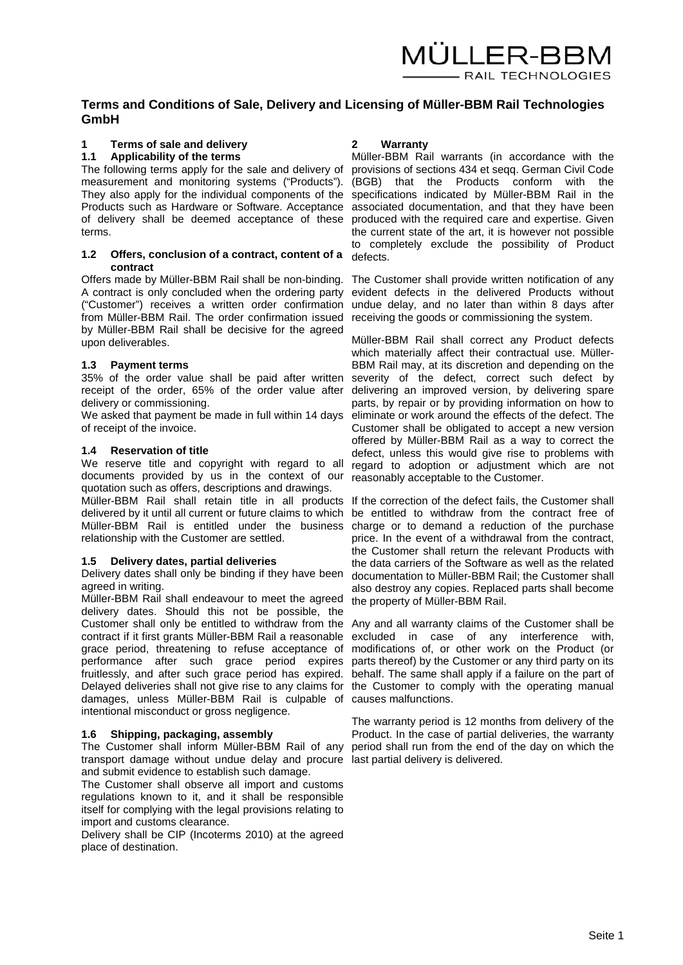# **Terms and Conditions of Sale, Delivery and Licensing of Müller-BBM Rail Technologies GmbH**

# **1 Terms of sale and delivery**

# **1.1 Applicability of the terms**

The following terms apply for the sale and delivery of provisions of sections 434 et seqq. German Civil Code measurement and monitoring systems ("Products"). (BGB) that the Products conform with the They also apply for the individual components of the specifications indicated by Müller-BBM Rail in the Products such as Hardware or Software. Acceptance associated documentation, and that they have been of delivery shall be deemed acceptance of these produced with the required care and expertise. Given terms.

#### **1.2 Offers, conclusion of a contract, content of a**  defects. **contract**

Offers made by Müller-BBM Rail shall be non-binding. A contract is only concluded when the ordering party ("Customer") receives a written order confirmation undue delay, and no later than within 8 days after from Müller-BBM Rail. The order confirmation issued receiving the goods or commissioning the system. by Müller-BBM Rail shall be decisive for the agreed upon deliverables.

## **1.3 Payment terms**

35% of the order value shall be paid after written severity of the defect, correct such defect by receipt of the order, 65% of the order value after delivering an improved version, by delivering spare delivery or commissioning.

We asked that payment be made in full within 14 days eliminate or work around the effects of the defect. The of receipt of the invoice.

#### **1.4 Reservation of title**

We reserve title and copyright with regard to all documents provided by us in the context of our quotation such as offers, descriptions and drawings.

Müller-BBM Rail shall retain title in all products If the correction of the defect fails, the Customer shall delivered by it until all current or future claims to which Müller-BBM Rail is entitled under the business relationship with the Customer are settled.

# **1.5 Delivery dates, partial deliveries**

Delivery dates shall only be binding if they have been agreed in writing.

Müller-BBM Rail shall endeavour to meet the agreed delivery dates. Should this not be possible, the Customer shall only be entitled to withdraw from the Any and all warranty claims of the Customer shall be contract if it first grants Müller-BBM Rail a reasonable grace period, threatening to refuse acceptance of performance after such grace period expires fruitlessly, and after such grace period has expired. Delayed deliveries shall not give rise to any claims for the Customer to comply with the operating manual damages, unless Müller-BBM Rail is culpable of causes malfunctions. intentional misconduct or gross negligence.

## **1.6 Shipping, packaging, assembly**

The Customer shall inform Müller-BBM Rail of any period shall run from the end of the day on which the transport damage without undue delay and procure last partial delivery is delivered. and submit evidence to establish such damage.

The Customer shall observe all import and customs regulations known to it, and it shall be responsible itself for complying with the legal provisions relating to import and customs clearance.

Delivery shall be CIP (Incoterms 2010) at the agreed place of destination.

## **2 Warranty**

Müller-BBM Rail warrants (in accordance with the the current state of the art, it is however not possible to completely exclude the possibility of Product

The Customer shall provide written notification of any evident defects in the delivered Products without

Müller-BBM Rail shall correct any Product defects which materially affect their contractual use. Müller-BBM Rail may, at its discretion and depending on the parts, by repair or by providing information on how to Customer shall be obligated to accept a new version offered by Müller-BBM Rail as a way to correct the defect, unless this would give rise to problems with regard to adoption or adjustment which are not reasonably acceptable to the Customer.

be entitled to withdraw from the contract free of charge or to demand a reduction of the purchase price. In the event of a withdrawal from the contract, the Customer shall return the relevant Products with the data carriers of the Software as well as the related documentation to Müller-BBM Rail; the Customer shall also destroy any copies. Replaced parts shall become the property of Müller-BBM Rail.

excluded in case of any interference with, modifications of, or other work on the Product (or parts thereof) by the Customer or any third party on its behalf. The same shall apply if a failure on the part of

The warranty period is 12 months from delivery of the Product. In the case of partial deliveries, the warranty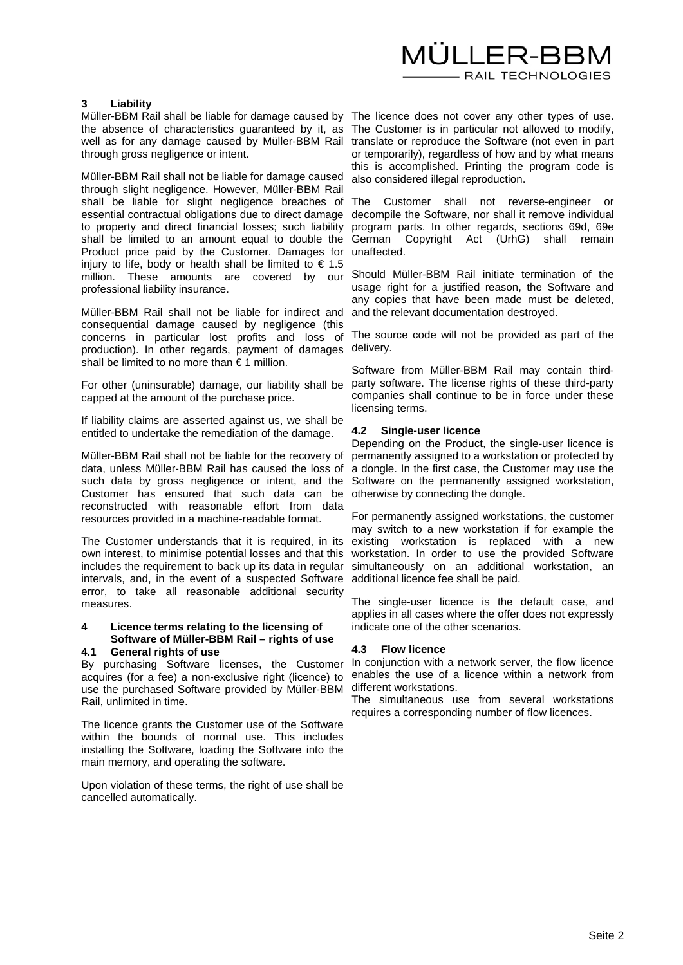

#### **3 Liability**

Müller-BBM Rail shall be liable for damage caused by the absence of characteristics guaranteed by it, as well as for any damage caused by Müller-BBM Rail through gross negligence or intent.

Müller-BBM Rail shall not be liable for damage caused through slight negligence. However, Müller-BBM Rail shall be liable for slight negligence breaches of essential contractual obligations due to direct damage decompile the Software, nor shall it remove individual to property and direct financial losses; such liability shall be limited to an amount equal to double the German Copyright Act (UrhG) shall remain Product price paid by the Customer. Damages for unaffected. injury to life, body or health shall be limited to  $\epsilon$  1.5 million. These amounts are covered by our professional liability insurance.

Müller-BBM Rail shall not be liable for indirect and consequential damage caused by negligence (this concerns in particular lost profits and loss of production). In other regards, payment of damages shall be limited to no more than  $\epsilon$  1 million.

For other (uninsurable) damage, our liability shall be capped at the amount of the purchase price.

If liability claims are asserted against us, we shall be entitled to undertake the remediation of the damage.

Müller-BBM Rail shall not be liable for the recovery of data, unless Müller-BBM Rail has caused the loss of such data by gross negligence or intent, and the Customer has ensured that such data can be reconstructed with reasonable effort from data resources provided in a machine-readable format.

The Customer understands that it is required, in its own interest, to minimise potential losses and that this includes the requirement to back up its data in regular intervals, and, in the event of a suspected Software error, to take all reasonable additional security measures.

# **4 Licence terms relating to the licensing of Software of Müller-BBM Rail – rights of use**

# **4.1 General rights of use**

By purchasing Software licenses, the Customer acquires (for a fee) a non-exclusive right (licence) to use the purchased Software provided by Müller-BBM Rail, unlimited in time.

The licence grants the Customer use of the Software within the bounds of normal use. This includes installing the Software, loading the Software into the main memory, and operating the software.

Upon violation of these terms, the right of use shall be cancelled automatically.

The licence does not cover any other types of use. The Customer is in particular not allowed to modify, translate or reproduce the Software (not even in part or temporarily), regardless of how and by what means this is accomplished. Printing the program code is also considered illegal reproduction.

The Customer shall not reverse-engineer or program parts. In other regards, sections 69d, 69e

Should Müller-BBM Rail initiate termination of the usage right for a justified reason, the Software and any copies that have been made must be deleted, and the relevant documentation destroyed.

The source code will not be provided as part of the delivery.

Software from Müller-BBM Rail may contain thirdparty software. The license rights of these third-party companies shall continue to be in force under these licensing terms.

#### **4.2 Single-user licence**

Depending on the Product, the single-user licence is permanently assigned to a workstation or protected by a dongle. In the first case, the Customer may use the Software on the permanently assigned workstation, otherwise by connecting the dongle.

For permanently assigned workstations, the customer may switch to a new workstation if for example the existing workstation is replaced with a new workstation. In order to use the provided Software simultaneously on an additional workstation, an additional licence fee shall be paid.

The single-user licence is the default case, and applies in all cases where the offer does not expressly indicate one of the other scenarios.

#### **4.3 Flow licence**

In conjunction with a network server, the flow licence enables the use of a licence within a network from different workstations.

The simultaneous use from several workstations requires a corresponding number of flow licences.